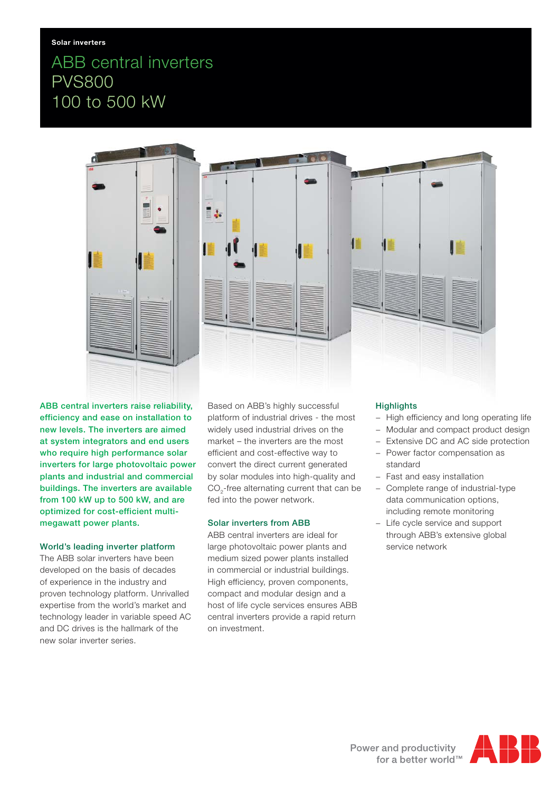# ABB central inverters PVS800 100 to 500 kW



**ABB central inverters raise reliability, efficiency and ease on installation to new levels. The inverters are aimed at system integrators and end users who require high performance solar inverters for large photovoltaic power plants and industrial and commercial buildings. The inverters are available from 100 kW up to 500 kW, and are optimized for cost-efficient multimegawatt power plants.**

## **World's leading inverter platform**

The ABB solar inverters have been developed on the basis of decades of experience in the industry and proven technology platform. Unrivalled expertise from the world's market and technology leader in variable speed AC and DC drives is the hallmark of the new solar inverter series.

Based on ABB's highly successful platform of industrial drives - the most widely used industrial drives on the market – the inverters are the most efficient and cost-effective way to convert the direct current generated by solar modules into high-quality and CO<sub>2</sub>-free alternating current that can be fed into the power network.

## **Solar inverters from ABB**

ABB central inverters are ideal for large photovoltaic power plants and medium sized power plants installed in commercial or industrial buildings. High efficiency, proven components, compact and modular design and a host of life cycle services ensures ABB central inverters provide a rapid return on investment.

# **Highlights**

- − High efficiency and long operating life
- − Modular and compact product design
- − Extensive DC and AC side protection
- − Power factor compensation as standard
- − Fast and easy installation
- − Complete range of industrial-type data communication options, including remote monitoring
- − Life cycle service and support through ABB's extensive global service network

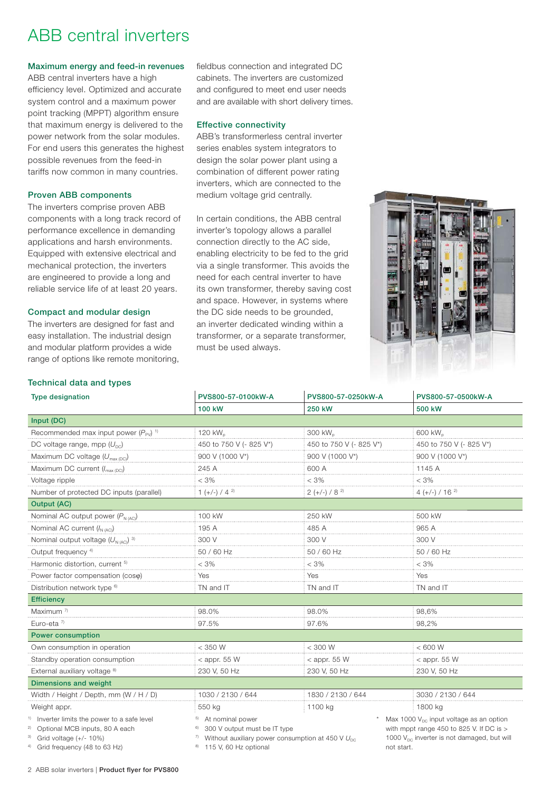# ABB central inverters

### **Maximum energy and feed-in revenues**

ABB central inverters have a high efficiency level. Optimized and accurate system control and a maximum power point tracking (MPPT) algorithm ensure that maximum energy is delivered to the power network from the solar modules. For end users this generates the highest possible revenues from the feed-in tariffs now common in many countries.

#### **Proven ABB components**

The inverters comprise proven ABB components with a long track record of performance excellence in demanding applications and harsh environments. Equipped with extensive electrical and mechanical protection, the inverters are engineered to provide a long and reliable service life of at least 20 years.

#### **Compact and modular design**

The inverters are designed for fast and easy installation. The industrial design and modular platform provides a wide range of options like remote monitoring, fieldbus connection and integrated DC cabinets. The inverters are customized and configured to meet end user needs and are available with short delivery times.

#### **Effective connectivity**

ABB's transformerless central inverter series enables system integrators to design the solar power plant using a combination of different power rating inverters, which are connected to the medium voltage grid centrally.

In certain conditions, the ABB central inverter's topology allows a parallel connection directly to the AC side, enabling electricity to be fed to the grid via a single transformer. This avoids the need for each central inverter to have its own transformer, thereby saving cost and space. However, in systems where the DC side needs to be grounded, an inverter dedicated winding within a transformer, or a separate transformer, must be used always.



#### **Technical data and types**

| <b>Type designation</b>                                                                                                                                                             | PVS800-57-0100kW-A                                                                                                                                    | PVS800-57-0250kW-A      | PVS800-57-0500kW-A                                                                                                                                                        |
|-------------------------------------------------------------------------------------------------------------------------------------------------------------------------------------|-------------------------------------------------------------------------------------------------------------------------------------------------------|-------------------------|---------------------------------------------------------------------------------------------------------------------------------------------------------------------------|
|                                                                                                                                                                                     | 100 kW                                                                                                                                                | 250 kW                  | 500 kW                                                                                                                                                                    |
| Input (DC)                                                                                                                                                                          |                                                                                                                                                       |                         |                                                                                                                                                                           |
| Recommended max input power $(P_{\text{PV}})^{-1}$                                                                                                                                  | 120 kW <sub>n</sub>                                                                                                                                   | 300 kW <sub>n</sub>     | 600 kW <sub>n</sub>                                                                                                                                                       |
| DC voltage range, mpp $(U_{nc})$                                                                                                                                                    | 450 to 750 V (- 825 V*)                                                                                                                               | 450 to 750 V (- 825 V*) | 450 to 750 V (- 825 V*)                                                                                                                                                   |
| Maximum DC voltage $(U_{\text{max (DC)}})$                                                                                                                                          | 900 V (1000 V*)                                                                                                                                       | 900 V (1000 V*)         | 900 V (1000 V*)                                                                                                                                                           |
| Maximum DC current (I <sub>max (DC)</sub> )                                                                                                                                         | 245 A                                                                                                                                                 | 600 A                   | 1145 A                                                                                                                                                                    |
| Voltage ripple                                                                                                                                                                      | $<$ 3%                                                                                                                                                | $< 3\%$                 | $<$ 3%                                                                                                                                                                    |
| Number of protected DC inputs (parallel)                                                                                                                                            | $1 (+/-) / 4^{2}$                                                                                                                                     | $2 (+/-) / 8^{2}$       | $4 (+/-) / 16$ <sup>2)</sup>                                                                                                                                              |
| <b>Output (AC)</b>                                                                                                                                                                  |                                                                                                                                                       |                         |                                                                                                                                                                           |
| Nominal AC output power $(P_{N(AC)})$                                                                                                                                               | 100 kW                                                                                                                                                | 250 kW                  | 500 kW                                                                                                                                                                    |
| Nominal AC current $(I_{N(AC)})$                                                                                                                                                    | 195 A                                                                                                                                                 | 485 A                   | 965 A                                                                                                                                                                     |
| Nominal output voltage $(U_{N(AC)})$ <sup>3)</sup>                                                                                                                                  | 300 V                                                                                                                                                 | 300 V                   | 300 V                                                                                                                                                                     |
| Output frequency 4)                                                                                                                                                                 | 50 / 60 Hz                                                                                                                                            | 50 / 60 Hz              | 50 / 60 Hz                                                                                                                                                                |
| Harmonic distortion, current <sup>5)</sup>                                                                                                                                          | $<$ 3%                                                                                                                                                | $< 3\%$                 | $<$ 3%                                                                                                                                                                    |
| Power factor compensation (coso)                                                                                                                                                    | Yes                                                                                                                                                   | Yes                     | Yes                                                                                                                                                                       |
| Distribution network type <sup>6)</sup>                                                                                                                                             | TN and IT                                                                                                                                             | TN and IT               | TN and IT                                                                                                                                                                 |
| <b>Efficiency</b>                                                                                                                                                                   |                                                                                                                                                       |                         |                                                                                                                                                                           |
| Maximum <sup>7)</sup>                                                                                                                                                               | 98.0%                                                                                                                                                 | 98.0%                   | 98,6%                                                                                                                                                                     |
| Euro-eta $7$                                                                                                                                                                        | 97.5%                                                                                                                                                 | 97.6%                   | 98,2%                                                                                                                                                                     |
| <b>Power consumption</b>                                                                                                                                                            |                                                                                                                                                       |                         |                                                                                                                                                                           |
| Own consumption in operation                                                                                                                                                        | < 350 W                                                                                                                                               | < 300 W                 | < 600 W                                                                                                                                                                   |
| Standby operation consumption                                                                                                                                                       | $<$ appr. 55 W                                                                                                                                        | $<$ appr. 55 W          | $<$ appr. 55 W                                                                                                                                                            |
| External auxiliary voltage <sup>8)</sup>                                                                                                                                            | 230 V, 50 Hz                                                                                                                                          | 230 V, 50 Hz            | 230 V, 50 Hz                                                                                                                                                              |
| <b>Dimensions and weight</b>                                                                                                                                                        |                                                                                                                                                       |                         |                                                                                                                                                                           |
| Width / Height / Depth, mm (W / H / D)                                                                                                                                              | 1030 / 2130 / 644                                                                                                                                     | 1830 / 2130 / 644       | 3030 / 2130 / 644                                                                                                                                                         |
| Weight appr.                                                                                                                                                                        | 550 kg                                                                                                                                                | 1100 kg                 | 1800 kg                                                                                                                                                                   |
| <sup>1)</sup> Inverter limits the power to a safe level<br><sup>2)</sup> Optional MCB inputs, 80 A each<br>$3$ Grid voltage (+/- 10%)<br><sup>4)</sup> Grid frequency (48 to 63 Hz) | At nominal power<br>5)<br>300 V output must be IT type<br>Without auxiliary power consumption at 450 V $U_{\text{pc}}$<br>115 V, 60 Hz optional<br>8) |                         | Max 1000 V <sub>DC</sub> input voltage as an option<br>with mppt range 450 to 825 V. If DC is $>$<br>1000 V <sub>pc</sub> inverter is not damaged, but will<br>not start. |

2 ABB solar inverters | **Product flyer for PVS800**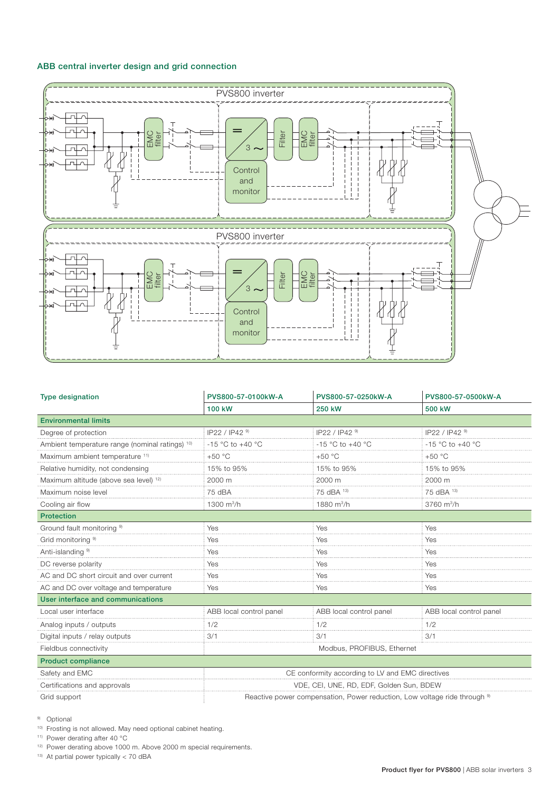## **ABB central inverter design and grid connection**



| <b>Type designation</b>                         | PVS800-57-0100kW-A                                                                   | PVS800-57-0250kW-A      | PVS800-57-0500kW-A      |
|-------------------------------------------------|--------------------------------------------------------------------------------------|-------------------------|-------------------------|
|                                                 | 100 kW                                                                               | 250 kW                  | 500 kW                  |
| <b>Environmental limits</b>                     |                                                                                      |                         |                         |
| Degree of protection                            | IP22 / IP42 9)                                                                       | IP22 / IP42 9)          | IP22 / IP42 9)          |
| Ambient temperature range (nominal ratings) 10) | $-15$ °C to $+40$ °C                                                                 | -15 °C to +40 °C        | -15 °C to +40 °C        |
| Maximum ambient temperature 11)                 | $+50 °C$                                                                             | $+50 °C$                | $+50 °C$                |
| Relative humidity, not condensing               | 15% to 95%                                                                           | 15% to 95%              | 15% to 95%              |
| Maximum altitude (above sea level) 12)          | 2000 m                                                                               | 2000 m                  | 2000 m                  |
| Maximum noise level                             | 75 dBA                                                                               | 75 dBA 13)              | 75 dBA 13)              |
| Cooling air flow                                | 1300 m <sup>3</sup> /h                                                               | 1880 m <sup>3</sup> /h  | 3760 m <sup>3</sup> /h  |
| <b>Protection</b>                               |                                                                                      |                         |                         |
| Ground fault monitoring 9)                      | Yes                                                                                  | Yes                     | Yes                     |
| Grid monitoring <sup>9)</sup>                   | Yes                                                                                  | Yes                     | Yes                     |
| Anti-islanding <sup>9)</sup>                    | Yes                                                                                  | Yes                     | Yes                     |
| DC reverse polarity                             | Yes                                                                                  | Yes                     | Yes                     |
| AC and DC short circuit and over current        | Yes                                                                                  | Yes                     | Yes                     |
| AC and DC over voltage and temperature          | Yes                                                                                  | Yes                     | Yes                     |
| User interface and communications               |                                                                                      |                         |                         |
| Local user interface                            | ABB local control panel                                                              | ABB local control panel | ABB local control panel |
| Analog inputs / outputs                         | 1/2                                                                                  | 1/2                     | 1/2                     |
| Digital inputs / relay outputs                  | 3/1                                                                                  | 3/1                     | 3/1                     |
| Fieldbus connectivity                           | Modbus, PROFIBUS, Ethernet                                                           |                         |                         |
| <b>Product compliance</b>                       |                                                                                      |                         |                         |
| Safety and EMC                                  | CE conformity according to LV and EMC directives                                     |                         |                         |
| Certifications and approvals                    | VDE, CEI, UNE, RD, EDF, Golden Sun, BDEW                                             |                         |                         |
| Grid support                                    | Reactive power compensation, Power reduction, Low voltage ride through <sup>9)</sup> |                         |                         |

9) Optional

10) Frosting is not allowed. May need optional cabinet heating.

11) Power derating after 40 °C

12) Power derating above 1000 m. Above 2000 m special requirements.

13) At partial power typically < 70 dBA